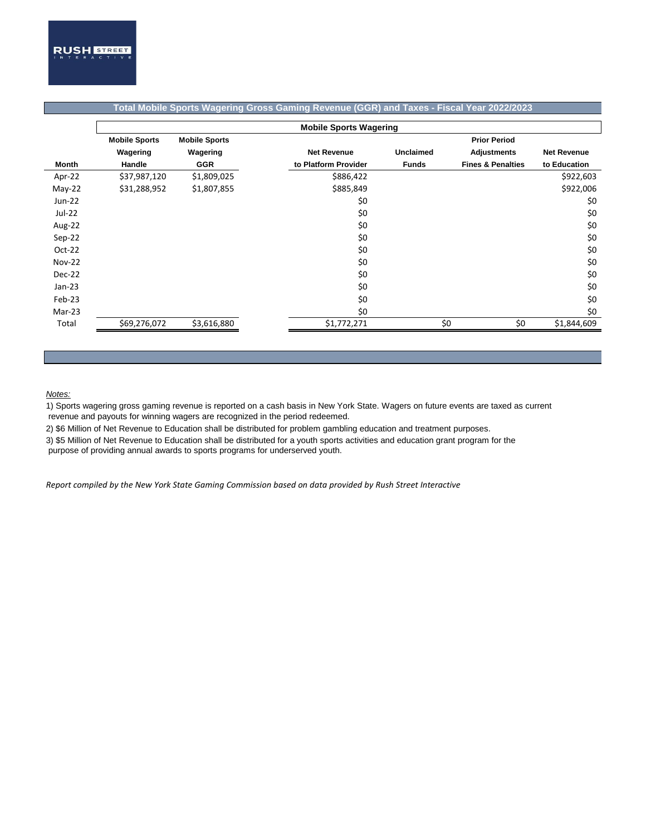|               | <b>Mobile Sports Wagering</b> |                                             |  |                      |                  |                              |                    |  |  |  |
|---------------|-------------------------------|---------------------------------------------|--|----------------------|------------------|------------------------------|--------------------|--|--|--|
|               | <b>Mobile Sports</b>          | <b>Prior Period</b><br><b>Mobile Sports</b> |  |                      |                  |                              |                    |  |  |  |
|               | Wagering                      | Wagering                                    |  | <b>Net Revenue</b>   | <b>Unclaimed</b> | <b>Adjustments</b>           | <b>Net Revenue</b> |  |  |  |
| Month         | Handle                        | <b>GGR</b>                                  |  | to Platform Provider | <b>Funds</b>     | <b>Fines &amp; Penalties</b> | to Education       |  |  |  |
| Apr-22        | \$37,987,120                  | \$1,809,025                                 |  | \$886,422            |                  |                              | \$922,603          |  |  |  |
| $May-22$      | \$31,288,952                  | \$1,807,855                                 |  | \$885,849            |                  |                              | \$922,006          |  |  |  |
| Jun-22        |                               |                                             |  | \$0                  |                  |                              | \$0                |  |  |  |
| Jul-22        |                               |                                             |  | \$0                  |                  |                              | \$0                |  |  |  |
| Aug-22        |                               |                                             |  | \$0                  |                  |                              | \$0                |  |  |  |
| Sep-22        |                               |                                             |  | \$0                  |                  |                              | \$0                |  |  |  |
| $Oct-22$      |                               |                                             |  | \$0                  |                  |                              | \$0                |  |  |  |
| <b>Nov-22</b> |                               |                                             |  | \$0                  |                  |                              | \$0                |  |  |  |
| Dec-22        |                               |                                             |  | \$0                  |                  |                              | \$0                |  |  |  |
| $Jan-23$      |                               |                                             |  | \$0                  |                  |                              | \$0                |  |  |  |
| $Feb-23$      |                               |                                             |  | \$0                  |                  |                              | \$0                |  |  |  |
| Mar-23        |                               |                                             |  | \$0                  |                  |                              | \$0                |  |  |  |
| Total         | \$69,276,072                  | \$3,616,880                                 |  | \$1,772,271          |                  | \$0<br>\$0                   | \$1,844,609        |  |  |  |

## **Total Mobile Sports Wagering Gross Gaming Revenue (GGR) and Taxes - Fiscal Year 2022/2023**

## *Notes:*

1) Sports wagering gross gaming revenue is reported on a cash basis in New York State. Wagers on future events are taxed as current revenue and payouts for winning wagers are recognized in the period redeemed.

2) \$6 Million of Net Revenue to Education shall be distributed for problem gambling education and treatment purposes.

3) \$5 Million of Net Revenue to Education shall be distributed for a youth sports activities and education grant program for the

purpose of providing annual awards to sports programs for underserved youth.

*Report compiled by the New York State Gaming Commission based on data provided by Rush Street Interactive*